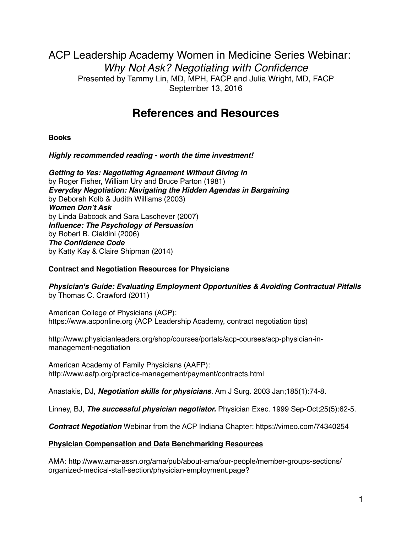ACP Leadership Academy Women in Medicine Series Webinar: *Why Not Ask? Negotiating with Confidence* Presented by Tammy Lin, MD, MPH, FACP and Julia Wright, MD, FACP September 13, 2016

# **References and Resources**

**Books** 

*Highly recommended reading - worth the time investment!*

*Getting to Yes: Negotiating Agreement Without Giving In*  by Roger Fisher, William Ury and Bruce Parton (1981) *Everyday Negotiation: Navigating the Hidden Agendas in Bargaining* by Deborah Kolb & Judith Williams (2003) *Women Don't Ask*  by Linda Babcock and Sara Laschever (2007) *Influence: The Psychology of Persuasion* by Robert B. Cialdini (2006) *The Confidence Code* by Katty Kay & Claire Shipman (2014)

# **Contract and Negotiation Resources for Physicians**

*Physician's Guide: Evaluating Employment Opportunities & Avoiding Contractual Pitfalls* by Thomas C. Crawford (2011)

American College of Physicians (ACP): https://www.acponline.org (ACP Leadership Academy, contract negotiation tips)

http://www.physicianleaders.org/shop/courses/portals/acp-courses/acp-physician-inmanagement-negotiation

American Academy of Family Physicians (AAFP): http://www.aafp.org/practice-management/payment/contracts.html

Anastakis, DJ, *Negotiation skills for physicians*. Am J Surg. 2003 Jan;185(1):74-8.

Linney, BJ, *The successful physician negotiator.* Physician Exec. 1999 Sep-Oct;25(5):62-5.

*Contract Negotiation* Webinar from the ACP Indiana Chapter:<https://vimeo.com/74340254>

# **Physician Compensation and Data Benchmarking Resources**

AMA: http://www.ama-assn.org/ama/pub/about-ama/our-people/member-groups-sections/ organized-medical-staff-section/physician-employment.page?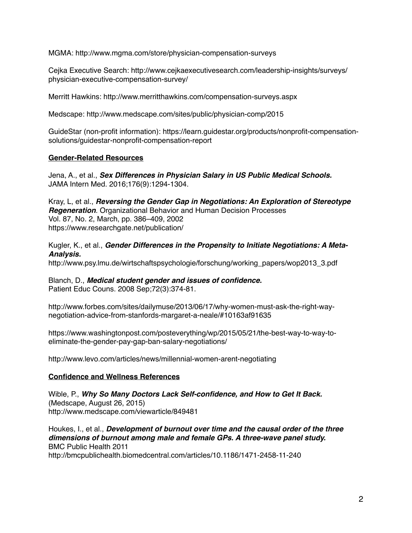MGMA:<http://www.mgma.com/store/physician-compensation-surveys>

[Cejka Executive Search: http://www.cejkaexecutivesearch.com/leadership-insights/surveys/](http://www.cejkaexecutivesearch.com/leadership-insights/surveys/physician-executive-compensation-survey/) physician-executive-compensation-survey/

Merritt Hawkins: <http://www.merritthawkins.com/compensation-surveys.aspx>

Medscape: <http://www.medscape.com/sites/public/physician-comp/2015>

GuideStar (non-profit information): https://learn.guidestar.org/products/nonprofit-compensationsolutions/guidestar-nonprofit-compensation-report

### **Gender-Related Resources**

Jena, A., et al., *Sex Differences in Physician Salary in US Public Medical Schools.* JAMA Intern Med. 2016;176(9):1294-1304.

Kray, L, et al., *Reversing the Gender Gap in Negotiations: An Exploration of Stereotype Regeneration.* Organizational Behavior and Human Decision Processes Vol. 87, No. 2, March, pp. 386–409, 2002 <https://www.researchgate.net/publication/>

Kugler, K., et al., *Gender Differences in the Propensity to Initiate Negotiations: A Meta-Analysis.*

[http://www.psy.lmu.de/wirtschaftspsychologie/forschung/working\\_papers/wop2013\\_3.pdf](http://www.psy.lmu.de/wirtschaftspsychologie/forschung/working_papers/wop2013_3.pdf)

Blanch, D., *Medical student gender and issues of confidence.*  Patient Educ Couns. 2008 Sep;72(3):374-81.

http://www.forbes.com/sites/dailymuse/2013/06/17/why-women-must-ask-the-right-waynegotiation-advice-from-stanfords-margaret-a-neale/#10163af91635

https://www.washingtonpost.com/posteverything/wp/2015/05/21/the-best-way-to-way-toeliminate-the-gender-pay-gap-ban-salary-negotiations/

http://www.levo.com/articles/news/millennial-women-arent-negotiating

### **Confidence and Wellness References**

Wible, P., *Why So Many Doctors Lack Self-confidence, and How to Get It Back.*  (Medscape, August 26, 2015) <http://www.medscape.com/viewarticle/849481>

Houkes, I., et al., *Development of burnout over time and the causal order of the three dimensions of burnout among male and female GPs. A three-wave panel study.* BMC Public Health 2011 <http://bmcpublichealth.biomedcentral.com/articles/10.1186/1471-2458-11-240>